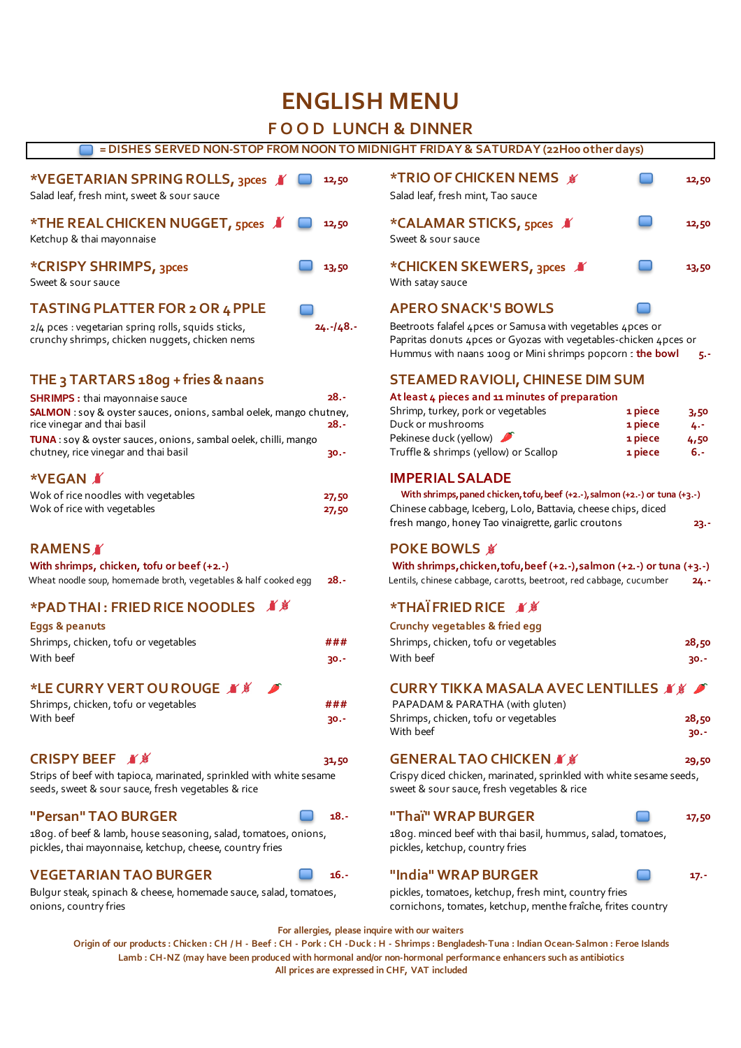# **ENGLISH MENU**

# **F O O D LUNCH & DINNER**

# **= DISHES SERVED NON-STOP FROM NOON TO MIDNIGHT FRIDAY & SATURDAY (22H00 other days)**

| *VEGETARIAN SPRING ROLLS, 3pces X<br>Salad leaf, fresh mint, sweet & sour sauce | 12,50 | <b>*TRIO OF CHICKEN NEMS ★</b><br>Salad leaf, fresh mint, Tao sauce | 12,50 |
|---------------------------------------------------------------------------------|-------|---------------------------------------------------------------------|-------|
| *THE REAL CHICKEN NUGGET, 5pces ■<br>Ketchup & thai mayonnaise                  | 12,50 | *CALAMAR STICKS, 5pces X<br>Sweet & sour sauce                      | 12,50 |
| *CRISPY SHRIMPS, 3pces<br>Sweet & sour sauce                                    | 13,50 | *CHICKEN SKEWERS, 3pces<br>With satay sauce                         | 13,50 |
| <b>TASTING PLATTER FOR 2 OR 4 PPLE</b>                                          |       | <b>APERO SNACK'S BOWLS</b>                                          |       |

# **THE 3 TARTARS 180g + fries & naans**

| <b>SHRIMPS:</b> thai mayonnaise sauce                                     | $28.-$ | At least 4 pieces and 11 minutes of preparation                                     |         |     |
|---------------------------------------------------------------------------|--------|-------------------------------------------------------------------------------------|---------|-----|
| <b>SALMON</b> : soy & oyster sauces, onions, sambal oelek, mango chutney, |        | Shrimp, turkey, pork or vegetables                                                  | 1 piece | 3.5 |
| rice vinegar and thai basil                                               | 28.-   | Duck or mushrooms                                                                   | 1 piece | 4.7 |
| TUNA: soy & oyster sauces, onions, sambal oelek, chilli, mango            |        | Pekinese duck (yellow)                                                              | 1 piece | 4,5 |
| chutney, rice vinegar and thai basil                                      | $30 -$ | Truffle & shrimps (yellow) or Scallop                                               | 1 piece | 6.- |
| <b>*VEGAN A</b>                                                           |        | <b>IMPERIAL SALADE</b>                                                              |         |     |
| Wok of rice noodles with vegetables                                       | 27,50  | With shrimps, paned chicken, tofu, beef $(+2,-)$ , salmon $(+2,-)$ or tuna $(+3,-)$ |         |     |

# **With shrimps, chicken, tofu or beef (+2.-)**

| Wheat noodle soup, homemade broth, vegetables & half cooked egg | Lentils, chinese cabbage, carotts, beetroot, red cabbage, cucumber | $24. -$ |
|-----------------------------------------------------------------|--------------------------------------------------------------------|---------|

# **\*PAD THAI : FRIED RICE NOODLES \*THAÏ FRIED RICE**

# **Eggs & peanuts**

|                                      | ###    |                                                |       |
|--------------------------------------|--------|------------------------------------------------|-------|
| Shrimps, chicken, tofu or vegetables |        | Shrimps, chicken, tofu or vegetables           | 28,50 |
| With beef                            | $30 -$ | With beef                                      | 30.-  |
| *LE CURRY VERT OU ROUGE N' S         |        | <b>CURRY TIKKA MASALA AVEC LENTILLES X X F</b> |       |
| Shrimps, chicken, tofu or vegetables | ###    | PAPADAM & PARATHA (with gluten)                |       |

Strips of beef with tapioca, marinated, sprinkled with white sesame Crispy diced chicken, marinated, sprinkled with white sesame seeds, seeds, sweet & sour sauce, fresh vegetables & rice sweet & sour sauce, fresh vegetables & rice

180g. of beef & lamb, house seasoning, salad, tomatoes, onions, 180g. minced beef with thai basil, hummus, salad, tomatoes, pickles, thai mayonnaise, ketchup, cheese, country fries pickles, ketchup, country fries

# **VEGETARIAN TAO BURGER 16.- "India" WRAP BURGER 17.-**

Bulgur steak, spinach & cheese, homemade sauce, salad, tomatoes, pickles, tomatoes, ketchup, fresh mint, country fries onions, country fries cornichons, tomates, ketchup, menthe fraîche, frites country

| <b>*TRIO OF CHICKEN NEMS ¥</b><br>Salad leaf, fresh mint, Tao sauce | 12,50 |
|---------------------------------------------------------------------|-------|
| *CALAMAR STICKS, 5pces X<br>Sweet & sour sauce                      | 12,50 |
| *CHICKEN SKEWERS, 3pces X<br>With satay sauce                       | 13,50 |

2/4 pces : vegetarian spring rolls, squids sticks, **24.-/48.-** Beetroots falafel 4pces or Samusa with vegetables 4pces or crunchy shrimps, chicken nuggets, chicken nems Papritas donuts 4pces or Gyozas with vegetables-chicken 4pces or Hummus with naans 100g or Mini shrimps popcorn 1 **the bowl** 5.-

# **STEAMED RAVIOLI, CHINESE DIM SUM**

# **At least 4 pieces and 11 minutes of preparation**

| <b>SALMON</b> : soy & oyster sauces, onions, sambal oelek, mango chutney, | Shrimp, turkey, pork or vegetables | 1 piece                               | 3,50    |        |
|---------------------------------------------------------------------------|------------------------------------|---------------------------------------|---------|--------|
| rice vinegar and thai basil                                               | - 28.                              | Duck or mushrooms                     | 1 piece | 4.7    |
| <b>TUNA</b> : soy & oyster sauces, onions, sambal oelek, chilli, mango    |                                    | Pekinese duck (yellow)                | 1 piece | 4,50   |
| chutney, rice vinegar and thai basil                                      | - - 30                             | Truffle & shrimps (yellow) or Scallop | 1 piece | $6. -$ |

# **IMPERIAL SALADE**

Wok of rice with vegetables **27,50** Chinese cabbage, Iceberg, Lolo, Battavia, cheese chips, diced fresh mango, honey Tao vinaigrette, garlic croutons **23.-** With shrimps, paned chicken, tofu, beef (+2.-), salmon (+2.-) or tuna (+3.-)

# **RAMENS ■** POKE BOWLS

| With shrimps, chicken, to fu, beef $(+2,-)$ , salmon $(+2,-)$ or tuna $(+3,-)$ |        |
|--------------------------------------------------------------------------------|--------|
| Lentils, chinese cabbage, carotts, beetroot, red cabbage, cucumber             | $24 -$ |

| Eggs & peanuts                       |        | Crunchy vegetables & fried egg       |        |
|--------------------------------------|--------|--------------------------------------|--------|
| Shrimps, chicken, tofu or vegetables | ###    | Shrimps, chicken, tofu or vegetables | 28,50  |
| With beef                            | $30 -$ | With beef                            | $30 -$ |
|                                      |        |                                      |        |

# **CURRY TIKKA MASALA AVEC LENTILLES**

| Shrimps, chicken, tofu or vegetables | ###    | PAPADAM & PARATHA (with gluten)      |       |
|--------------------------------------|--------|--------------------------------------|-------|
| With beef                            | $30 -$ | Shrimps, chicken, tofu or vegetables | 28,50 |
|                                      |        | With beef                            | 30.-  |

# **CRISPY BEEF**  $\mathcal{N}$   $\mathcal{N}$  **31,50 GENERAL TAO CHICKEN**  $\mathcal{N}$   $\mathcal{N}$  **39,50**

# **"Persan" TAO BURGER 18.- "Thaï" WRAP BURGER 17,50**

# **For allergies, please inquire with our waiters**

**All prices are expressed in CHF, VAT included Origin of our products : Chicken : CH / H - Beef : CH - Pork : CH -Duck : H - Shrimps : Bengladesh-Tuna : Indian Ocean-Salmon : Feroe Islands Lamb : CH-NZ (may have been produced with hormonal and/or non-hormonal performance enhancers such as antibiotics**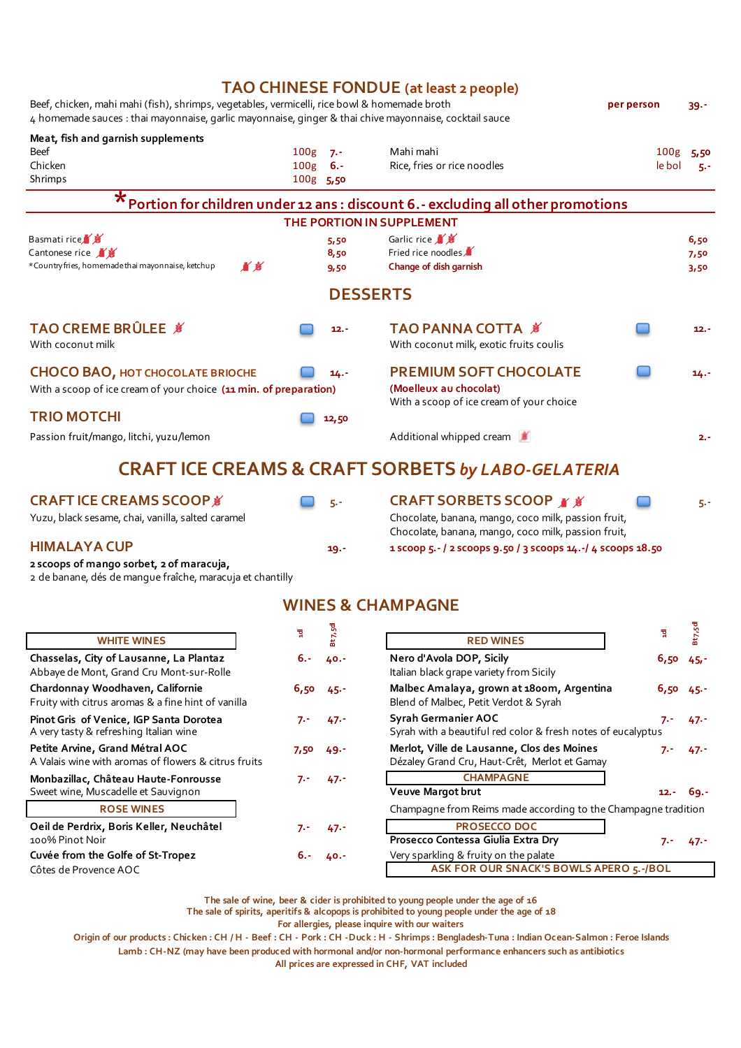|                                                                                                                                                                                                        |                                      |                            | <b>TAO CHINESE FONDUE</b> (at least 2 people)                                                       |                            |                      |
|--------------------------------------------------------------------------------------------------------------------------------------------------------------------------------------------------------|--------------------------------------|----------------------------|-----------------------------------------------------------------------------------------------------|----------------------------|----------------------|
| Beef, chicken, mahi mahi (fish), shrimps, vegetables, vermicelli, rice bowl & homemade broth<br>4 homemade sauces : thai mayonnaise, garlic mayonnaise, ginger & thai chive mayonnaise, cocktail sauce |                                      |                            |                                                                                                     |                            | $39 -$               |
| Meat, fish and garnish supplements<br><b>Beef</b><br>Chicken<br>Shrimps                                                                                                                                | 100 <sub>g</sub><br>100 <sub>g</sub> | 7.7<br>$6. -$<br>100g 5,50 | Mahi mahi<br>Rice, fries or rice noodles                                                            | 100 <sub>g</sub><br>le bol | 5,50<br>5.5          |
|                                                                                                                                                                                                        |                                      |                            | Portion for children under 12 ans : discount 6.- excluding all other promotions                     |                            |                      |
|                                                                                                                                                                                                        |                                      |                            | THE PORTION IN SUPPLEMENT                                                                           |                            |                      |
| Basmati rice<br>Cantonese rice<br>*Country fries, homemade thai mayonnaise, ketchup<br>直着                                                                                                              |                                      | 5,50<br>8,50<br>9,50       | Garlic rice X<br>Fried rice noodles<br>Change of dish garnish                                       |                            | 6,50<br>7,50<br>3,50 |
|                                                                                                                                                                                                        |                                      |                            | <b>DESSERTS</b>                                                                                     |                            |                      |
| TAO CREME BRÛLEE &<br>With coconut milk                                                                                                                                                                |                                      | $12. -$                    | TAO PANNA COTTA \$<br>With coconut milk, exotic fruits coulis                                       |                            | $12. -$              |
| <b>CHOCO BAO, HOT CHOCOLATE BRIOCHE</b><br>With a scoop of ice cream of your choice (11 min. of preparation)                                                                                           |                                      | $14. -$                    | <b>PREMIUM SOFT CHOCOLATE</b><br>(Moelleux au chocolat)<br>With a scoop of ice cream of your choice |                            | $14. -$              |
| <b>TRIO MOTCHI</b>                                                                                                                                                                                     |                                      | 12,50                      |                                                                                                     |                            |                      |
| Passion fruit/mango, litchi, yuzu/lemon                                                                                                                                                                |                                      |                            | Additional whipped cream                                                                            |                            | $2. -$               |
|                                                                                                                                                                                                        |                                      |                            | <b>CRAFT ICE CREAMS &amp; CRAFT SORBETS by LABO-GELATERIA</b>                                       |                            |                      |

# **CRAFT ICE CREAMS SCOOP**

Yuzu, black sesame, chai, vanilla, salted caramel Chocolate, banana, mango, coco milk, passion fruit,

# **HIMALAYA CUP**

**2 scoops of mango sorbet, 2 of maracuja,**

2 de banane, dés de mangue fraîche, maracuja et chantilly

| <b>WINES &amp; CHAMPAGNE</b> |  |  |
|------------------------------|--|--|
|                              |  |  |

**5.- CRAFT SORBETS SCOOP** *a a a* **5**.-

**B** 

Chocolate, banana, mango, coco milk, passion fruit, **19.- 1 scoop 5.- / 2 scoops 9.50 / 3 scoops 14.-/ 4 scoops 18.50** 

|                                                                                         | ਥੁ      |        |                                                                                             | ਥੂ       |        |
|-----------------------------------------------------------------------------------------|---------|--------|---------------------------------------------------------------------------------------------|----------|--------|
| <b>WHITE WINES</b>                                                                      |         |        | <b>RED WINES</b>                                                                            |          |        |
| Chasselas, City of Lausanne, La Plantaz<br>Abbaye de Mont, Grand Cru Mont-sur-Rolle     | $6. -$  | 40.7   | Nero d'Avola DOP, Sicily<br>Italian black grape variety from Sicily                         | 6,50     | $45 -$ |
| Chardonnay Woodhaven, Californie<br>Fruity with citrus aromas & a fine hint of vanilla  | 6,50,45 |        | Malbec Amalaya, grown at 1800m, Argentina<br>Blend of Malbec, Petit Verdot & Syrah          | 6,50,45. |        |
| Pinot Gris of Venice, IGP Santa Dorotea<br>A very tasty & refreshing Italian wine       | $7. -$  | $47 -$ | Syrah Germanier AOC<br>Syrah with a beautiful red color & fresh notes of eucalyptus         | $7. -$   | $47 -$ |
| Petite Arvine, Grand Métral AOC<br>A Valais wine with aromas of flowers & citrus fruits | 7,50    | - 49 - | Merlot, Ville de Lausanne, Clos des Moines<br>Dézaley Grand Cru, Haut-Crêt, Merlot et Gamay | $7. -$   | 47.7   |
| Monbazillac, Château Haute-Fonrousse                                                    | 7.-     | $47 -$ | <b>CHAMPAGNE</b>                                                                            |          |        |
| Sweet wine, Muscadelle et Sauvignon                                                     |         |        | <b>Veuve Margot brut</b>                                                                    | $12. -$  | $69 -$ |
| <b>ROSE WINES</b>                                                                       |         |        | Champagne from Reims made according to the Champagne tradition                              |          |        |
| Oeil de Perdrix, Boris Keller, Neuchâtel                                                | 7.-     | $47 -$ | <b>PROSECCO DOC</b>                                                                         |          |        |
| 100% Pinot Noir                                                                         |         |        | Prosecco Contessa Giulia Extra Dry                                                          | $7. -$   | $47 -$ |
| Cuvée from the Golfe of St-Tropez                                                       | 6.-     | 40.7   | Very sparkling & fruity on the palate                                                       |          |        |
| Côtes de Provence AOC                                                                   |         |        | ASK FOR OUR SNACK'S BOWLS APERO 5.-/BOL                                                     |          |        |

**The sale of wine, beer & cider is prohibited to young people under the age of 16**

**The sale of spirits, aperitifs & alcopops is prohibited to young people under the age of 18**

**For allergies, please inquire with our waiters**

**Origin of our products : Chicken : CH / H - Beef : CH - Pork : CH -Duck : H - Shrimps : Bengladesh-Tuna : Indian Ocean-Salmon : Feroe Islands**

**Lamb : CH-NZ (may have been produced with hormonal and/or non-hormonal performance enhancers such as antibiotics**

**All prices are expressed in CHF, VAT included**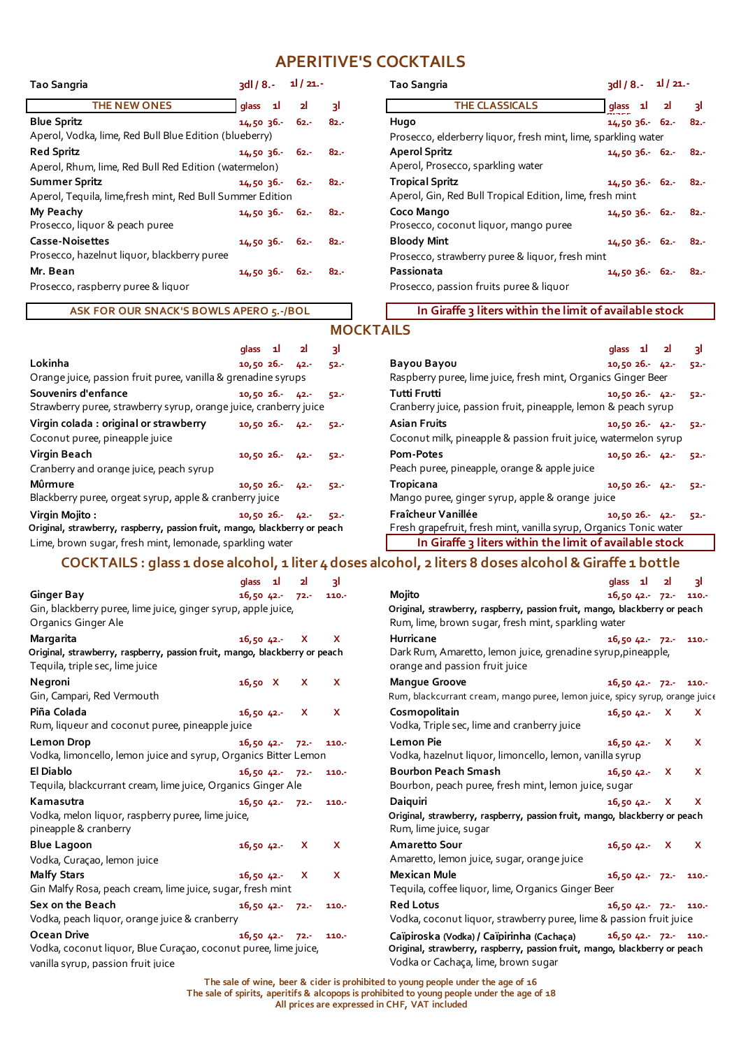# **APERITIVE'S COCKTAILS**

| <b>Tao Sangria</b>                                         | $3d/8. - 1/21.$ |                |        | Tao Sangria                                                    | $3d/8 - 1$    |  |
|------------------------------------------------------------|-----------------|----------------|--------|----------------------------------------------------------------|---------------|--|
| <b>THE NEW ONES</b>                                        | glass 1         | 2 <sup>1</sup> | зI     | <b>THE CLASSICALS</b>                                          | glass 1       |  |
| <b>Blue Spritz</b>                                         | $14,50,36,-62.$ |                | $82 -$ | Hugo                                                           | $14,5036 - 6$ |  |
| Aperol, Vodka, lime, Red Bull Blue Edition (blueberry)     |                 |                |        | Prosecco, elderberry liquor, fresh mint, lime, sparkling water |               |  |
| <b>Red Spritz</b>                                          | 14,50,36.562.5  |                | $82 -$ | <b>Aperol Spritz</b>                                           | $14,5036 - 6$ |  |
| Aperol, Rhum, lime, Red Bull Red Edition (watermelon)      |                 |                |        | Aperol, Prosecco, sparkling water                              |               |  |
| <b>Summer Spritz</b>                                       | $14,50,36 - 62$ |                | $82 -$ | <b>Tropical Spritz</b>                                         | $14,5036 - 6$ |  |
| Aperol, Tequila, lime, fresh mint, Red Bull Summer Edition |                 |                |        | Aperol, Gin, Red Bull Tropical Edition, lime, fresh mint       |               |  |
| My Peachy                                                  | 14,50,36.562.5  |                | $82 -$ | Coco Mango                                                     | $14,5036 - 6$ |  |
| Prosecco, liquor & peach puree                             |                 |                |        | Prosecco, coconut liquor, mango puree                          |               |  |
| Casse-Noisettes                                            | 14,50,36.562.5  |                | $82 -$ | <b>Bloody Mint</b>                                             | $14,5036 - 6$ |  |
| Prosecco, hazelnut liquor, blackberry puree                |                 |                |        | Prosecco, strawberry puree & liquor, fresh mint                |               |  |
| Mr. Bean                                                   | 14,50,36.562.5  |                | $82 -$ | Passionata                                                     | $14,5036 - 6$ |  |
| Prosecco, raspberry puree & liquor                         |                 |                |        | Prosecco, passion fruits puree & liquor                        |               |  |
|                                                            |                 |                |        |                                                                |               |  |

| Tao Sangria                                               | $3d/8. - 1/21.$     |                |                                                                | <b>Tao Sangria</b>                                       | $3d/8. - 1/21.$     |                |        |  |
|-----------------------------------------------------------|---------------------|----------------|----------------------------------------------------------------|----------------------------------------------------------|---------------------|----------------|--------|--|
| <b>THE NEW ONES</b>                                       | glass 1             | 2 <sup>1</sup> | ٦l                                                             | <b>THE CLASSICALS</b>                                    | glass 1             | 2 <sup>1</sup> | ત્રી   |  |
| <b>Blue Spritz</b>                                        | 14,50,36.62.62.6    |                | $82 -$                                                         | Hugo                                                     | $14,5036 - 62$      |                | - 82.- |  |
| Aperol, Vodka, lime, Red Bull Blue Edition (blueberry)    |                     |                | Prosecco, elderberry liquor, fresh mint, lime, sparkling water |                                                          |                     |                |        |  |
| <b>Red Spritz</b>                                         | 14,50,36.562.5      |                | $82 -$                                                         | <b>Aperol Spritz</b>                                     | $14,5036 - 62 - 82$ |                |        |  |
| Aperol, Rhum, lime, Red Bull Red Edition (watermelon)     |                     |                |                                                                | Aperol, Prosecco, sparkling water                        |                     |                |        |  |
| Summer Spritz                                             | 14,50,36.562.5      |                | - 82.-                                                         | <b>Tropical Spritz</b>                                   | $14,5036 - 62 - 82$ |                |        |  |
| Aperol, Tequila, lime,fresh mint, Red Bull Summer Edition |                     |                |                                                                | Aperol, Gin, Red Bull Tropical Edition, lime, fresh mint |                     |                |        |  |
| My Peachy                                                 | $14,5036 - 62 - 82$ |                |                                                                | Coco Mango                                               | $14,5036 - 62 - 82$ |                |        |  |
| Prosecco, liquor & peach puree                            |                     |                |                                                                | Prosecco, coconut liquor, mango puree                    |                     |                |        |  |
| Casse-Noisettes                                           | 14,50,36.562.5      |                | $82 -$                                                         | <b>Bloody Mint</b>                                       | $14,5036 - 62 - 82$ |                |        |  |
| Prosecco, hazelnut liquor, blackberry puree               |                     |                |                                                                | Prosecco, strawberry puree & liquor, fresh mint          |                     |                |        |  |
| Mr. Bean                                                  | $14,50,36-$         | 62.-           | $82 -$                                                         | Passionata                                               | $14,5036 - 62$      |                | - 82.- |  |
| Prosecco, raspberry puree & liquor                        |                     |                |                                                                | Prosecco, passion fruits puree & liquor                  |                     |                |        |  |

**ASK FOR OUR SNACK'S BOWLS APERO 5.-/BOL** 

# **MOCKTAILS**

|                                                                            | glass 1         |  | 21     | з١     |                                                                   | glass 1         | 21 | રા     |
|----------------------------------------------------------------------------|-----------------|--|--------|--------|-------------------------------------------------------------------|-----------------|----|--------|
| Lokinha                                                                    | $10,5026 - 42.$ |  |        | $52 -$ | <b>Bayou Bayou</b>                                                | $10,5026 - 42.$ |    | $52 -$ |
| Orange juice, passion fruit puree, vanilla & grenadine syrups              |                 |  |        |        | Raspberry puree, lime juice, fresh mint, Organics Ginger Beer     |                 |    |        |
| Souvenirs d'enfance                                                        | 10,5026         |  | $42 -$ | $52 -$ | <b>Tutti Frutti</b>                                               | $10.5026 - 42.$ |    | $52 -$ |
| Strawberry puree, strawberry syrup, orange juice, cranberry juice          |                 |  |        |        | Cranberry juice, passion fruit, pineapple, lemon & peach syrup    |                 |    |        |
| Virgin colada : original or strawberry                                     | 10,5026         |  | $42 -$ | $52 -$ | <b>Asian Fruits</b>                                               | $10.5026 - 42$  |    | $52 -$ |
| Coconut puree, pineapple juice                                             |                 |  |        |        | Coconut milk, pineapple & passion fruit juice, watermelon syrup   |                 |    |        |
| Virgin Beach                                                               | 10,5026         |  | $42 -$ | $52 -$ | Pom-Potes                                                         | $10,5026 - 42.$ |    | $52 -$ |
| Cranberry and orange juice, peach syrup                                    |                 |  |        |        | Peach puree, pineapple, orange & apple juice                      |                 |    |        |
| Mûrmure                                                                    | $10,5026 - 42.$ |  |        | $52 -$ | Tropicana                                                         | $10,5026 - 42.$ |    | $52 -$ |
| Blackberry puree, orgeat syrup, apple & cranberry juice                    |                 |  |        |        | Mango puree, ginger syrup, apple & orange juice                   |                 |    |        |
| Virain Moiito :                                                            | 10,5026         |  | $42 -$ | $52 -$ | Fraîcheur Vanillée                                                | $10,5026 - 42$  |    | $52 -$ |
| Original, strawberry, raspberry, passion fruit, mango, blackberry or peach |                 |  |        |        | Fresh grapefruit, fresh mint, vanilla syrup, Organics Tonic water |                 |    |        |
| Lime, brown sugar, fresh mint, lemonade, sparkling water                   |                 |  |        |        | In Giraffe 3 liters within the limit of available stock           |                 |    |        |

# **COCKTAILS : glass 1 dose alcohol, 1 liter 4 doses alcohol, 2 liters 8 doses alcohol & Giraffe 1 bottle**

|                                                                                                               | yıass<br>- 44<br>41       | 31           |                                                                                                      | gid y Ti           | $\overline{\mathbf{z}}$ | -51          |  |
|---------------------------------------------------------------------------------------------------------------|---------------------------|--------------|------------------------------------------------------------------------------------------------------|--------------------|-------------------------|--------------|--|
| <b>Ginger Bay</b>                                                                                             | $16,5042 - 72$            | 110.7        | Mojito                                                                                               | 16,50 42. 72. 110. |                         |              |  |
| Gin, blackberry puree, lime juice, ginger syrup, apple juice,                                                 |                           |              | Original, strawberry, raspberry, passion fruit, mango, blackberry or peach                           |                    |                         |              |  |
| Organics Ginger Ale                                                                                           |                           |              | Rum, lime, brown sugar, fresh mint, sparkling water                                                  |                    |                         |              |  |
| Margarita                                                                                                     | 16,50,42.<br>$\mathbf{x}$ | X            | Hurricane                                                                                            | 16,5042.72.710.7   |                         |              |  |
| Original, strawberry, raspberry, passion fruit, mango, blackberry or peach<br>Tequila, triple sec, lime juice |                           |              | Dark Rum, Amaretto, lemon juice, grenadine syrup, pineapple,<br>orange and passion fruit juice       |                    |                         |              |  |
| Negroni                                                                                                       | 16,50 X<br><b>X</b>       | X            | <b>Mangue Groove</b>                                                                                 | 16,5042.72.7110.7  |                         |              |  |
| Gin, Campari, Red Vermouth                                                                                    |                           |              | Rum, blackcurrant cream, mango puree, lemon juice, spicy syrup, orange juice                         |                    |                         |              |  |
| Piña Colada                                                                                                   | 16,50,42.<br>$\mathbf{x}$ | $\mathsf{x}$ | Cosmopolitain                                                                                        | $16,5042 - X$      |                         | $\mathbf{x}$ |  |
| Rum, liqueur and coconut puree, pineapple juice                                                               |                           |              | Vodka, Triple sec, lime and cranberry juice                                                          |                    |                         |              |  |
| <b>Lemon Drop</b>                                                                                             | 16,50,42.<br>72.5         | 110.7        | <b>Lemon Pie</b>                                                                                     | $16,5042 -$        | $\mathbf{X}$            | $\mathsf{x}$ |  |
| Vodka, limoncello, lemon juice and syrup, Organics Bitter Lemon                                               |                           |              | Vodka, hazelnut liquor, limoncello, lemon, vanilla syrup                                             |                    |                         |              |  |
| El Diablo                                                                                                     | 16,50,42.772.             | 110.7        | <b>Bourbon Peach Smash</b>                                                                           | $16,5042.$ X       |                         | <b>X</b>     |  |
| Tequila, blackcurrant cream, lime juice, Organics Ginger Ale                                                  |                           |              | Bourbon, peach puree, fresh mint, lemon juice, sugar                                                 |                    |                         |              |  |
| Kamasutra                                                                                                     | 16,50,42.72.7             | 110.7        | Daiguiri                                                                                             | 16,5042.           | $\mathbf{X}$            | <b>X</b>     |  |
| Vodka, melon liquor, raspberry puree, lime juice,<br>pineapple & cranberry                                    |                           |              | Original, strawberry, raspberry, passion fruit, mango, blackberry or peach<br>Rum, lime juice, sugar |                    |                         |              |  |
| <b>Blue Lagoon</b>                                                                                            | 16,5042.<br>X.            | $\mathbf{x}$ | <b>Amaretto Sour</b>                                                                                 | 16,5042. X         |                         | <b>X</b>     |  |
| Vodka, Curaçao, lemon juice                                                                                   |                           |              | Amaretto, lemon juice, sugar, orange juice                                                           |                    |                         |              |  |
| <b>Malfy Stars</b>                                                                                            | 16,50,42.<br>$\mathbf{x}$ | $\mathbf{x}$ | <b>Mexican Mule</b>                                                                                  | 16,50 42. 72. 110. |                         |              |  |
| Gin Malfy Rosa, peach cream, lime juice, sugar, fresh mint                                                    |                           |              | Tequila, coffee liquor, lime, Organics Ginger Beer                                                   |                    |                         |              |  |
| Sex on the Beach                                                                                              | 16,50,42.72.7             | 110.7        | <b>Red Lotus</b>                                                                                     | 16,50 42. 72. 110. |                         |              |  |
| Vodka, peach liquor, orange juice & cranberry                                                                 |                           |              | Vodka, coconut liquor, strawberry puree, lime & passion fruit juice                                  |                    |                         |              |  |
| Ocean Drive                                                                                                   | 16,50,42.72.7             | 110.7        | Caïpiroska (Vodka) / Caïpirinha (Cachaca)                                                            | 16,50 42. 72. 110. |                         |              |  |
| Vodka, coconut liquor, Blue Curaçao, coconut puree, lime juice,                                               |                           |              | Original, strawberry, raspberry, passion fruit, mango, blackberry or peach                           |                    |                         |              |  |
| vanilla syrup, passion fruit juice                                                                            |                           |              | Vodka or Cachaça, lime, brown sugar                                                                  |                    |                         |              |  |

| glass 1                                | 2 <sup>1</sup> | зI      |                                                                                                                                                                | glas 1 2             |    | R.                   |
|----------------------------------------|----------------|---------|----------------------------------------------------------------------------------------------------------------------------------------------------------------|----------------------|----|----------------------|
| 16,5042.72.                            |                | $110 -$ | Mojito                                                                                                                                                         | $16,5042 - 72$       |    | $110 -$              |
| , apple juice,                         |                |         | Original, strawberry, raspberry, passion fruit, mango, blackberry or peach<br>Rum, lime, brown sugar, fresh mint, sparkling water                              |                      |    |                      |
| 16,5042.                               | $\mathbf{x}$   | X.      | <b>Hurricane</b>                                                                                                                                               | 16,50,42.72.7        |    | 110.7                |
| ngo, blackberry or peach               |                |         | Dark Rum, Amaretto, lemon juice, grenadine syrup, pineapple,<br>orange and passion fruit juice                                                                 |                      |    |                      |
| 16,50 X X                              |                | X.      | <b>Mangue Groove</b><br>Rum, blackcurrant cream, mango puree, lemon juice, spicy syrup, orange juice                                                           | $16,5042 - 72 - 110$ |    |                      |
| $16,5042.$ X<br>ice                    |                | X.      | Cosmopolitain<br>Vodka, Triple sec, lime and cranberry juice                                                                                                   | $16,5042 - X$        |    | X.                   |
| 16,50,42.72.7<br>anics Bitter Lemon    |                | 110.7   | <b>Lemon Pie</b><br>Vodka, hazelnut liquor, limoncello, lemon, vanilla syrup                                                                                   | 16,5042.             | X. | x                    |
| 16,50,42.772.<br>ics Ginger Ale        |                | $110 -$ | <b>Bourbon Peach Smash</b><br>Bourbon, peach puree, fresh mint, lemon juice, sugar                                                                             | $16,5042.$ X         |    | $\mathsf{x}$         |
| 16,50,42.72.7<br>ce,                   |                | 110.7   | Daiguiri<br>Original, strawberry, raspberry, passion fruit, mango, blackberry or peach<br>Rum, lime juice, sugar                                               | 16,5042.             | X. | x                    |
| 16,50,42.                              | $\mathbf{x}$   | X.      | <b>Amaretto Sour</b><br>Amaretto, lemon juice, sugar, orange juice                                                                                             | $16,5042.$ X         |    | X.                   |
| 16,50,42.<br>, fresh mint              | $\mathbf{x}$   | X.      | <b>Mexican Mule</b><br>Tequila, coffee liquor, lime, Organics Ginger Beer                                                                                      | 16,50,42.72.7        |    | 110.7                |
| 16,5042.72.                            |                | $110 -$ | <b>Red Lotus</b><br>Vodka, coconut liquor, strawberry puree, lime & passion fruit juice                                                                        | 16,5042.72.710.7     |    |                      |
| $16,5042 - 72$<br>t puree, lime juice, |                | 110.7   | Caïpiroska (Vodka) / Caïpirinha (Cachaça)<br>Original, strawberry, raspberry, passion fruit, mango, blackberry or peach<br>Vodka or Cachaça, lime, brown sugar |                      |    | $16,5042 - 72 - 110$ |

**The sale of wine, beer & cider is prohibited to young people under the age of 16 The sale of spirits, aperitifs & alcopops is prohibited to young people under the age of 18 All prices are expressed in CHF, VAT included**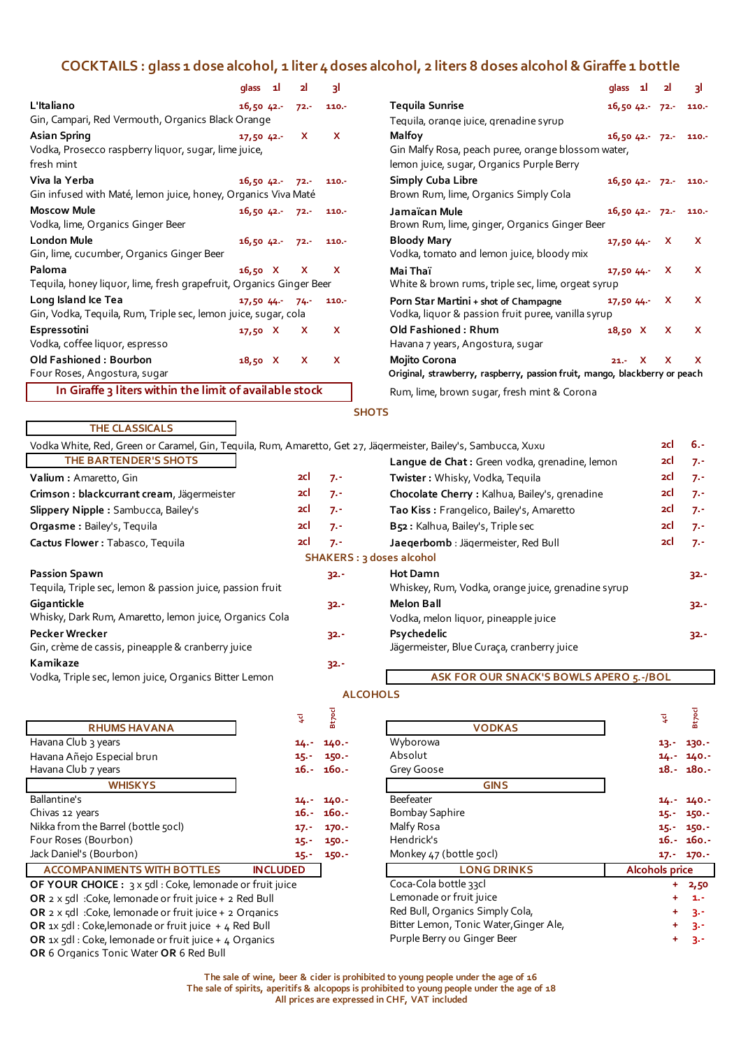# **COCKTAILS : glass 1 dose alcohol, 1 liter 4 doses alcohol, 2 liters 8 doses alcohol & Giraffe 1 bottle**

|                                                                                                                                          | qlass 1l     |                 | 2              | з١                  | glass 1                                                                                                                                                                         |   | 2                     | 31                         |
|------------------------------------------------------------------------------------------------------------------------------------------|--------------|-----------------|----------------|---------------------|---------------------------------------------------------------------------------------------------------------------------------------------------------------------------------|---|-----------------------|----------------------------|
| L'Italiano<br>Gin, Campari, Red Vermouth, Organics Black Orange                                                                          | 16,50,42.    |                 | $72. -$        | 110.7               | <b>Tequila Sunrise</b><br>$16,5042 - 72$<br>Tequila, orange juice, grenadine syrup                                                                                              |   |                       | 110.7                      |
| <b>Asian Spring</b><br>Vodka, Prosecco raspberry liquor, sugar, lime juice,<br>fresh mint                                                | $17,50$ 42.- |                 | x              | X                   | Malfoy<br>$16,5042 - 72$<br>Gin Malfy Rosa, peach puree, orange blossom water,<br>lemon juice, sugar, Organics Purple Berry                                                     |   |                       | 110.7                      |
| Viva la Yerba<br>Gin infused with Maté, lemon juice, honey, Organics Viva Maté                                                           | 16,5042.     |                 | $72. -$        | 110.7               | <b>Simply Cuba Libre</b><br>$16,5042 - 72$<br>Brown Rum, lime, Organics Simply Cola                                                                                             |   |                       | 110.7                      |
| <b>Moscow Mule</b><br>Vodka, lime, Organics Ginger Beer                                                                                  | 16,5042.     |                 | $72 -$         | $110. -$            | Jamaïcan Mule<br>$16,5042 - 72$<br>Brown Rum, lime, ginger, Organics Ginger Beer                                                                                                |   |                       | 110.7                      |
| <b>London Mule</b><br>Gin, lime, cucumber, Organics Ginger Beer                                                                          | 16,50,42.    |                 | $72. -$        | 110.7               | <b>Bloody Mary</b><br>17,5044<br>Vodka, tomato and lemon juice, bloody mix                                                                                                      |   | x                     | x                          |
| Paloma<br>Tequila, honey liquor, lime, fresh grapefruit, Organics Ginger Beer                                                            | 16,50 X      |                 | x              | x                   | Mai Thaï<br>17,5044<br>White & brown rums, triple sec, lime, orgeat syrup                                                                                                       |   | X                     | x                          |
| Long Island Ice Tea<br>Gin, Vodka, Tequila, Rum, Triple sec, lemon juice, sugar, cola                                                    | 17,50,44.    |                 | $74 -$         | 110.7               | Porn Star Martini + shot of Champagne<br>17,5044<br>Vodka, liquor & passion fruit puree, vanilla syrup                                                                          |   | X                     | x                          |
| Espressotini<br>Vodka, coffee liquor, espresso                                                                                           | $17,50$ X    |                 | x              | X                   | <b>Old Fashioned: Rhum</b><br>18,50 X<br>Havana 7 years, Angostura, sugar                                                                                                       |   | X                     | x                          |
| Old Fashioned: Bourbon<br>Four Roses, Angostura, sugar                                                                                   | 18,50 X      |                 | x              | X                   | Mojito Corona<br>$21. -$<br>Original, strawberry, raspberry, passion fruit, mango, blackberry or peach                                                                          | x | x                     | x                          |
| In Giraffe 3 liters within the limit of available stock                                                                                  |              |                 |                |                     | Rum, lime, brown sugar, fresh mint & Corona                                                                                                                                     |   |                       |                            |
|                                                                                                                                          |              |                 |                |                     | <b>SHOTS</b>                                                                                                                                                                    |   |                       |                            |
| <b>THE CLASSICALS</b>                                                                                                                    |              |                 |                |                     |                                                                                                                                                                                 |   | 2cl                   | $6. -$                     |
| Vodka White, Red, Green or Caramel, Gin, Tequila, Rum, Amaretto, Get 27, Jägermeister, Bailey's, Sambucca, Xuxu<br>THE BARTENDER'S SHOTS |              |                 |                |                     | Lanque de Chat: Green vodka, grenadine, lemon                                                                                                                                   |   | 2Cl                   | $7 -$                      |
| Valium: Amaretto, Gin                                                                                                                    |              |                 | 2Cl            | $7. -$              | Twister: Whisky, Vodka, Tequila                                                                                                                                                 |   | 2Cl                   | $7 -$                      |
| Crimson : blackcurrant cream, Jägermeister                                                                                               |              |                 | 2Cl            | $7 -$               | Chocolate Cherry : Kalhua, Bailey's, grenadine                                                                                                                                  |   | 2Cl                   | $7 -$                      |
| Slippery Nipple: Sambucca, Bailey's                                                                                                      |              |                 | 2Cl            | $7. -$              | Tao Kiss: Frangelico, Bailey's, Amaretto                                                                                                                                        |   | 2Cl                   | $7 -$                      |
| Orgasme: Bailey's, Tequila                                                                                                               |              |                 | 2Cl            | $7. -$              | B52: Kalhua, Bailey's, Triple sec                                                                                                                                               |   | 2Cl                   | $7 -$                      |
| Cactus Flower: Tabasco, Tequila                                                                                                          |              |                 | 2cl            | $7 -$               | Jaegerbomb : Jägermeister, Red Bull                                                                                                                                             |   | 2cl                   | $7 -$                      |
|                                                                                                                                          |              |                 |                |                     | <b>SHAKERS: 3 doses alcohol</b>                                                                                                                                                 |   |                       |                            |
| <b>Passion Spawn</b>                                                                                                                     |              |                 |                | $32 -$              | <b>Hot Damn</b>                                                                                                                                                                 |   |                       | 32.-                       |
| Tequila, Triple sec, lemon & passion juice, passion fruit                                                                                |              |                 |                |                     | Whiskey, Rum, Vodka, orange juice, grenadine syrup                                                                                                                              |   |                       |                            |
| Gigantickle<br>Whisky, Dark Rum, Amaretto, lemon juice, Organics Cola                                                                    |              |                 |                | $32 -$              | <b>Melon Ball</b><br>Vodka, melon liquor, pineapple juice                                                                                                                       |   |                       | 32.-                       |
| Pecker Wrecker<br>Gin, crème de cassis, pineapple & cranberry juice                                                                      |              |                 |                | $32 -$              | Psychedelic<br>Jägermeister, Blue Curaça, cranberry juice                                                                                                                       |   |                       | $32. -$                    |
| Kamikaze                                                                                                                                 |              |                 |                | $32 -$              |                                                                                                                                                                                 |   |                       |                            |
| Vodka, Triple sec, lemon juice, Organics Bitter Lemon                                                                                    |              |                 |                |                     | ASK FOR OUR SNACK'S BOWLS APERO 5.-/BOL<br><b>ALCOHOLS</b>                                                                                                                      |   |                       |                            |
|                                                                                                                                          |              |                 |                |                     |                                                                                                                                                                                 |   |                       |                            |
| <b>RHUMS HAVANA</b>                                                                                                                      |              |                 | $\overline{4}$ | <b>Bt7ocl</b>       | <b>VODKAS</b>                                                                                                                                                                   |   | $\overline{4}$        | <b>Bt</b> <sub>7</sub> ocl |
| Havana Club 3 years                                                                                                                      |              |                 | 14.-           | $140 -$             | Wyborowa                                                                                                                                                                        |   | $13 -$                | 130.-                      |
| Havana Añejo Especial brun                                                                                                               |              |                 | 15.-           | $150 -$             | Absolut                                                                                                                                                                         |   | $14. -$               | $140. -$                   |
| Havana Club 7 years                                                                                                                      |              |                 | 16.-           | $160. -$            | Grey Goose                                                                                                                                                                      |   |                       | $18. - 180. -$             |
| <b>WHISKYS</b><br>Ballantine's                                                                                                           |              |                 |                |                     | <b>GINS</b><br>Beefeater                                                                                                                                                        |   |                       |                            |
| Chivas 12 years                                                                                                                          |              |                 | 14.-<br>16.-   | $140 -$<br>$160. -$ | Bombay Saphire                                                                                                                                                                  |   | $14. -$<br>$15 -$     | - 140. -<br>$150 -$        |
| Nikka from the Barrel (bottle 50cl)                                                                                                      |              |                 | $17. -$        | $170. -$            | Malfy Rosa                                                                                                                                                                      |   | $15 -$                | $150 -$                    |
| Four Roses (Bourbon)                                                                                                                     |              |                 | 15.-           | $150 -$             | Hendrick's                                                                                                                                                                      |   | 16.-                  | $160. -$                   |
| Jack Daniel's (Bourbon)                                                                                                                  |              |                 | $15 -$         | $150 -$             | Monkey 47 (bottle 50cl)                                                                                                                                                         |   |                       | $17. - 170. -$             |
| <b>ACCOMPANIMENTS WITH BOTTLES</b>                                                                                                       |              | <b>INCLUDED</b> |                |                     | <b>LONG DRINKS</b>                                                                                                                                                              |   | <b>Alcohols price</b> |                            |
| OF YOUR CHOICE: 3 x 5dl : Coke, lemonade or fruit juice<br>OR 2 x 5dl :Coke, lemonade or fruit juice + 2 Red Bull                        |              |                 |                |                     | Coca-Cola bottle 33cl<br>Lemonade or fruit juice                                                                                                                                |   | ٠                     | 2,50<br>1.-                |
| OR $2 \times 5$ dl :Coke, lemonade or fruit juice + 2 Organics                                                                           |              |                 |                |                     | Red Bull, Organics Simply Cola,                                                                                                                                                 |   |                       | 3.-                        |
| OR 1x 5dl : Coke, lemonade or fruit juice + 4 Red Bull                                                                                   |              |                 |                |                     | Bitter Lemon, Tonic Water, Ginger Ale,                                                                                                                                          |   |                       | 3.-                        |
| OR 1x 5dl : Coke, lemonade or fruit juice + 4 Organics<br>OR 6 Organics Tonic Water OR 6 Red Bull                                        |              |                 |                |                     | Purple Berry ou Ginger Beer                                                                                                                                                     |   | ٠                     | $3 -$                      |
|                                                                                                                                          |              |                 |                |                     | The sale of wine, beer & cider is prohibited to young people under the age of 16<br>The sale of spirits, aperitifs & alcopops is prohibited to young people under the age of 18 |   |                       |                            |
|                                                                                                                                          |              |                 |                |                     | All prices are expressed in CHF, VAT included                                                                                                                                   |   |                       |                            |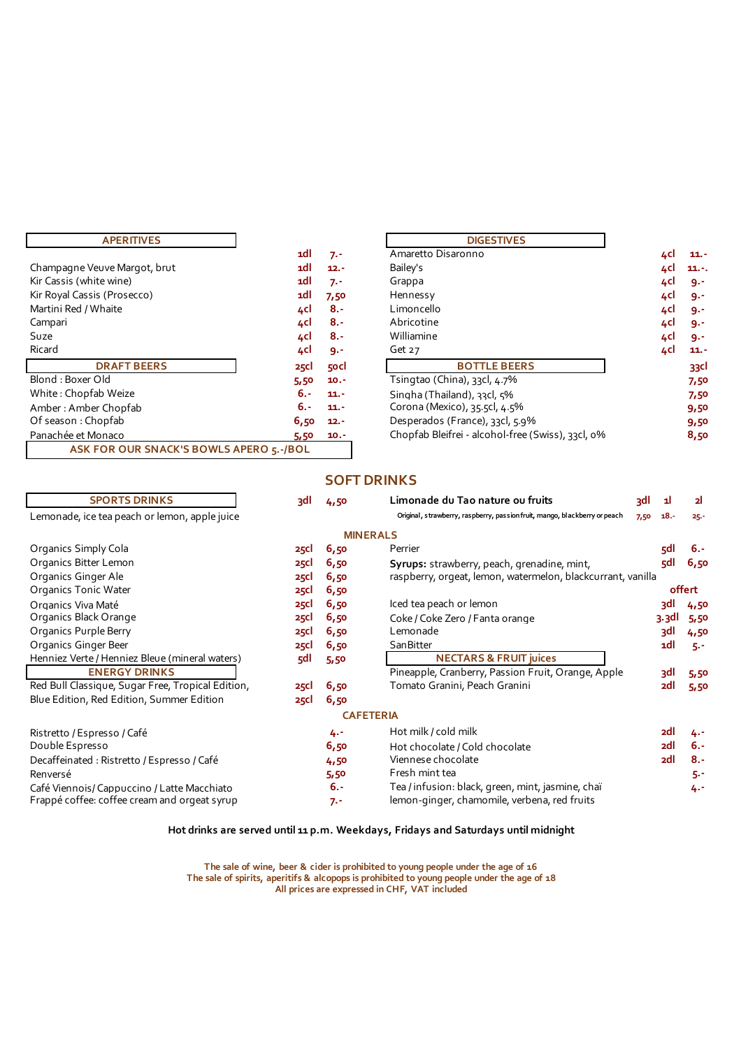| <b>APERITIVES</b>                          |             |         | <b>DIGESTIVES</b>                                 |                |
|--------------------------------------------|-------------|---------|---------------------------------------------------|----------------|
|                                            | 1dl         | $7. -$  | Amaretto Disaronno                                | 4cl<br>$11. -$ |
| Champagne Veuve Margot, brut               | 1dl         | $12. -$ | Bailey's                                          | 4cl<br>$11. -$ |
| Kir Cassis (white wine)                    | 1dl         | $7. -$  | Grappa                                            | 4cl<br>9.1     |
| Kir Royal Cassis (Prosecco)                | 1dl         | 7,50    | Hennessy                                          | 4cl<br>9.5     |
| Martini Red / Whaite                       | 4cl         | $8. -$  | Limoncello                                        | 4cl<br>9.1     |
| Campari                                    | 4cl         | $8. -$  | Abricotine                                        | 4cl<br>9.1     |
| Suze                                       | 4cl         | $8. -$  | Williamine                                        | 4cl<br>9.1     |
| Ricard                                     | 4cl         | $9 -$   | Get $27$                                          | 4cl<br>$11. -$ |
| <b>DRAFT BEERS</b>                         | <b>25Cl</b> | 50Cl    | <b>BOTTLE BEERS</b>                               | 33cl           |
| Blond: Boxer Old                           | 5,50        | $10. -$ | Tsingtao (China), 33cl, 4.7%                      | 7,50           |
| White: Chopfab Weize                       | -. 6        | $11. -$ | Singha (Thailand), 33cl, 5%                       | 7,50           |
| Amber: Amber Chopfab                       | -. 6        | $11. -$ | Corona (Mexico), 35.5cl, 4.5%                     | 9,50           |
| Of season: Chopfab                         | 6,50        | $12. -$ | Desperados (France), 33cl, 5.9%                   | 9,50           |
| Panachée et Monaco                         | 5,50        | $10. -$ | Chopfab Bleifrei - alcohol-free (Swiss), 33cl, 0% | 8,50           |
| ASK FOR OUR SNACK'S BOWLS APERO 5 .- / BOL |             |         |                                                   |                |

| <b>APERITIVES</b>            |             |         | <b>DIGESTIVES</b>                                 |     |         |
|------------------------------|-------------|---------|---------------------------------------------------|-----|---------|
|                              | 1dl         | $7. -$  | Amaretto Disaronno                                | 4cl | $11. -$ |
| Champagne Veuve Margot, brut | 1dl         | $12. -$ | Bailey's                                          | 4cl | $11. -$ |
| Kir Cassis (white wine)      | 1dl         | $7. -$  | Grappa                                            | 4cl | 9.1     |
| Kir Royal Cassis (Prosecco)  | 1dl         | 7,50    | Hennessy                                          | 4cl | 9.1     |
| Martini Red / Whaite         | 4cl         | $8. -$  | Limoncello                                        | 4cl | - و     |
| Campari                      | 4cl         | $8. -$  | Abricotine                                        | 4cl | 9.1     |
| Suze                         | 4cl         | $8. -$  | Williamine                                        | 4cl | - 9۰    |
| Ricard                       | 4cl         | $9 -$   | Get 27                                            | 4cl | $11. -$ |
| <b>DRAFT BEERS</b>           | <b>25Cl</b> | 50Cl    | <b>BOTTLE BEERS</b>                               |     | 33cl    |
| Blond: Boxer Old             | 5,50        | $10. -$ | Tsingtao (China), 33cl, 4.7%                      |     | 7,50    |
| White : Chopfab Weize        | $6. -$      | $11. -$ | Singha (Thailand), 33cl, 5%                       |     | 7,50    |
| Amber : Amber Chopfab        | 6.-         | $11. -$ | Corona (Mexico), 35.5cl, 4.5%                     |     | 9,50    |
| Of season : Chopfab          | 6,50        | $12. -$ | Desperados (France), 33cl, 5.9%                   |     | 9,50    |
| Panachée et Monaco           | 5,50        | $10. -$ | Chopfab Bleifrei - alcohol-free (Swiss), 33cl, 0% |     | 8,50    |

# **SOFT DRINKS**

| <b>SPORTS DRINKS</b><br><b>RE</b>                                | 4,50             | Limonade du Tao nature ou fruits                                           | 3dl  | 11               | 21     |
|------------------------------------------------------------------|------------------|----------------------------------------------------------------------------|------|------------------|--------|
| Lemonade, ice tea peach or lemon, apple juice                    |                  | Original, strawberry, raspberry, passion fruit, mango, blackberry or peach | 7,50 | $18. -$          | $25 -$ |
|                                                                  | <b>MINERALS</b>  |                                                                            |      |                  |        |
| Organics Simply Cola<br><b>25Cl</b>                              | 6,50             | Perrier                                                                    |      | 5dl              | $6. -$ |
| Organics Bitter Lemon<br><b>25cl</b>                             | 6,50             | Syrups: strawberry, peach, grenadine, mint,                                |      | 5dl              | 6,50   |
| Organics Ginger Ale<br><b>25cl</b>                               | 6,50             | raspberry, orgeat, lemon, watermelon, blackcurrant, vanilla                |      |                  |        |
| <b>Organics Tonic Water</b><br><b>25Cl</b>                       | 6,50             |                                                                            |      |                  | offert |
| Organics Viva Maté<br><b>25Cl</b>                                | 6,50             | Iced tea peach or lemon                                                    |      | 3dl              | 4,50   |
| Organics Black Orange<br><b>25Cl</b>                             | 6,50             | Coke / Coke Zero / Fanta orange                                            |      | 3.3 <sub>d</sub> | 5,50   |
| Organics Purple Berry<br><b>25Cl</b>                             | 6,50             | Lemonade                                                                   |      | 3dl              | 4,50   |
| Organics Ginger Beer<br><b>25Cl</b>                              | 6,50             | <b>SanBitter</b>                                                           |      | 1dl              | $5 -$  |
| Henniez Verte / Henniez Bleue (mineral waters)<br>5dl            | 5,50             | <b>NECTARS &amp; FRUIT juices</b>                                          |      |                  |        |
| <b>ENERGY DRINKS</b>                                             |                  | Pineapple, Cranberry, Passion Fruit, Orange, Apple                         |      | 3dl              | 5,50   |
| Red Bull Classique, Sugar Free, Tropical Edition,<br><b>25Cl</b> | 6,50             | Tomato Granini, Peach Granini                                              |      | <sub>2</sub> dl  | 5,50   |
| Blue Edition, Red Edition, Summer Edition<br><b>25Cl</b>         | 6,50             |                                                                            |      |                  |        |
|                                                                  | <b>CAFETERIA</b> |                                                                            |      |                  |        |
| Ristretto / Espresso / Café                                      | 4.-              | Hot milk / cold milk                                                       |      | 2dl              | 4.-    |
| Double Espresso                                                  | 6,50             | Hot chocolate / Cold chocolate                                             |      | <sub>2dl</sub>   | $6. -$ |
| Decaffeinated: Ristretto / Espresso / Café                       | 4,50             | Viennese chocolate                                                         |      | <sub>2dl</sub>   | $8. -$ |
| Renversé                                                         | 5,50             | Fresh mint tea                                                             |      |                  | 5.-    |
| Café Viennois/Cappuccino / Latte Macchiato                       | $6. -$           | Tea / infusion: black, green, mint, jasmine, chaï                          |      |                  | 4.-    |
| Frappé coffee: coffee cream and orgeat syrup                     | $7. -$           | lemon-ginger, chamomile, verbena, red fruits                               |      |                  |        |

# **Hot drinks are served until 11 p.m. Weekdays, Fridays and Saturdays until midnight**

**The sale of spirits, aperitifs & alcopops is prohibited to young people under the age of 18 The sale of wine, beer & cider is prohibited to young people under the age of 16 All prices are expressed in CHF, VAT included**